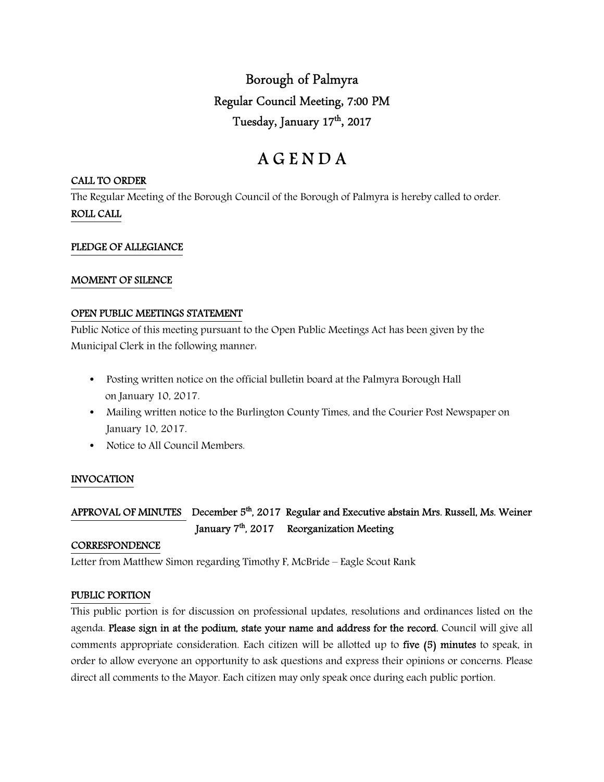Borough of Palmyra Regular Council Meeting, 7:00 PM Tuesday, January 17<sup>th</sup>, 2017

# A G E N D A

#### CALL TO ORDER

The Regular Meeting of the Borough Council of the Borough of Palmyra is hereby called to order. ROLL CALL

#### PLEDGE OF ALLEGIANCE

#### MOMENT OF SILENCE

### OPEN PUBLIC MEETINGS STATEMENT

Public Notice of this meeting pursuant to the Open Public Meetings Act has been given by the Municipal Clerk in the following manner:

- Posting written notice on the official bulletin board at the Palmyra Borough Hall on January 10, 2017.
- Mailing written notice to the Burlington County Times, and the Courier Post Newspaper on January 10, 2017.
- Notice to All Council Members.

#### INVOCATION

# APPROVAL OF MINUTES December 5<sup>th</sup>, 2017 Regular and Executive abstain Mrs. Russell, Ms. Weiner January 7<sup>th</sup>, 2017 Reorganization Meeting

#### **CORRESPONDENCE**

Letter from Matthew Simon regarding Timothy F, McBride – Eagle Scout Rank

## PUBLIC PORTION

This public portion is for discussion on professional updates, resolutions and ordinances listed on the agenda. Please sign in at the podium, state your name and address for the record. Council will give all comments appropriate consideration. Each citizen will be allotted up to five (5) minutes to speak, in order to allow everyone an opportunity to ask questions and express their opinions or concerns. Please direct all comments to the Mayor. Each citizen may only speak once during each public portion.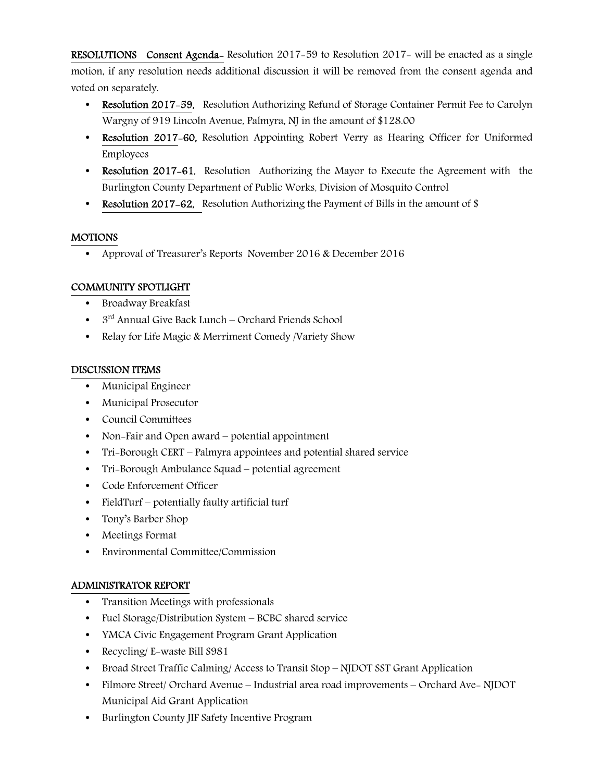RESOLUTIONS Consent Agenda- Resolution 2017-59 to Resolution 2017- will be enacted as a single motion, if any resolution needs additional discussion it will be removed from the consent agenda and voted on separately.

- Resolution 2017-59, Resolution Authorizing Refund of Storage Container Permit Fee to Carolyn Wargny of 919 Lincoln Avenue, Palmyra, NJ in the amount of \$128.00
- Resolution 2017–60, Resolution Appointing Robert Verry as Hearing Officer for Uniformed Employees
- Resolution 2017-61, Resolution Authorizing the Mayor to Execute the Agreement with the Burlington County Department of Public Works, Division of Mosquito Control
- Resolution 2017–62, Resolution Authorizing the Payment of Bills in the amount of \$

# MOTIONS

• Approval of Treasurer's Reports November 2016 & December 2016

# COMMUNITY SPOTLIGHT

- Broadway Breakfast
- $\bullet$  3<sup>rd</sup> Annual Give Back Lunch Orchard Friends School
- Relay for Life Magic & Merriment Comedy /Variety Show

# DISCUSSION ITEMS

- Municipal Engineer
- Municipal Prosecutor
- Council Committees
- Non-Fair and Open award potential appointment
- Tri-Borough CERT Palmyra appointees and potential shared service
- Tri-Borough Ambulance Squad potential agreement
- Code Enforcement Officer
- FieldTurf potentially faulty artificial turf
- Tony's Barber Shop
- Meetings Format
- Environmental Committee/Commission

# ADMINISTRATOR REPORT

- Transition Meetings with professionals
- Fuel Storage/Distribution System BCBC shared service
- YMCA Civic Engagement Program Grant Application
- Recycling/ E-waste Bill S981
- Broad Street Traffic Calming/ Access to Transit Stop NJDOT SST Grant Application
- Filmore Street/ Orchard Avenue Industrial area road improvements Orchard Ave- NJDOT Municipal Aid Grant Application
- Burlington County JIF Safety Incentive Program